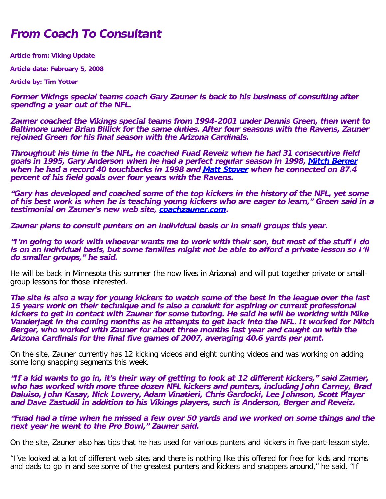## **From Coach To Consultant**

**Article from: Viking Update**

**Article date: February 5, 2008**

**Article by: Tim Yotter**

**Former Vikings special teams coach Gary Zauner is back to his business of consulting after spending a year out of the NFL.** 

**Zauner coached the Vikings special teams from 1994-2001 under Dennis Green, then went to Baltimore under Brian Billick for the same duties. After four seasons with the Ravens, Zauner rejoined Green for his final season with the Arizona Cardinals.** 

**Throughout his time in the NFL, he coached Fuad Reveiz when he had 31 consecutive field goals in 1995, Gary Anderson when he had a perfect regular season in 1998, [Mitch Berger](http://min.scout.com/a.z?s=63&p=8&c=1&nid=3506970) when he had a record 40 touchbacks in 1998 and [Matt Stover](http://min.scout.com/a.z?s=63&p=8&c=1&nid=2981637) when he connected on 87.4 percent of his field goals over four years with the Ravens.** 

**"Gary has developed and coached some of the top kickers in the history of the NFL, yet some of his best work is when he is teaching young kickers who are eager to learn," Green said in a testimonial on Zauner's new web site, [coachzauner.com](http://www.coachzauner.com/).** 

**Zauner plans to consult punters on an individual basis or in small groups this year.** 

**"I'm going to work with whoever wants me to work with their son, but most of the stuff I do is on an individual basis, but some families might not be able to afford a private lesson so I'll do smaller groups," he said.** 

He will be back in Minnesota this summer (he now lives in Arizona) and will put together private or smallgroup lessons for those interested.

**The site is also a way for young kickers to watch some of the best in the league over the last 15 years work on their technique and is also a conduit for aspiring or current professional kickers to get in contact with Zauner for some tutoring. He said he will be working with Mike Vanderjagt in the coming months as he attempts to get back into the NFL. It worked for Mitch Berger, who worked with Zauner for about three months last year and caught on with the Arizona Cardinals for the final five games of 2007, averaging 40.6 yards per punt.** 

On the site, Zauner currently has 12 kicking videos and eight punting videos and was working on adding some long snapping segments this week.

**"If a kid wants to go in, it's their way of getting to look at 12 different kickers," said Zauner, who has worked with more three dozen NFL kickers and punters, including John Carney, Brad Daluiso, John Kasay, Nick Lowery, Adam Vinatieri, Chris Gardocki, Lee Johnson, Scott Player and Dave Zastudil in addition to his Vikings players, such is Anderson, Berger and Reveiz.** 

**"Fuad had a time when he missed a few over 50 yards and we worked on some things and the next year he went to the Pro Bowl," Zauner said.** 

On the site, Zauner also has tips that he has used for various punters and kickers in five-part-lesson style.

"I've looked at a lot of different web sites and there is nothing like this offered for free for kids and moms and dads to go in and see some of the greatest punters and kickers and snappers around," he said. "If